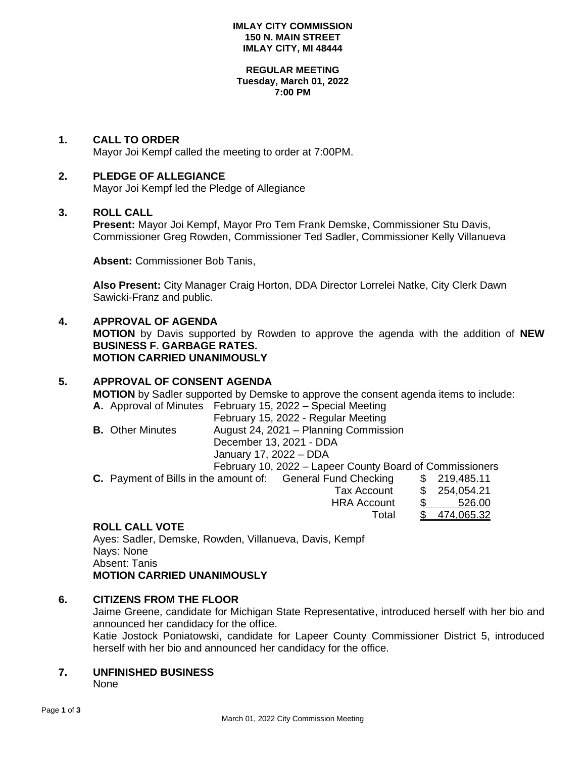#### **IMLAY CITY COMMISSION 150 N. MAIN STREET IMLAY CITY, MI 48444**

#### **REGULAR MEETING Tuesday, March 01, 2022 7:00 PM**

### **1. CALL TO ORDER**

Mayor Joi Kempf called the meeting to order at 7:00PM.

### **2. PLEDGE OF ALLEGIANCE**

Mayor Joi Kempf led the Pledge of Allegiance

### **3. ROLL CALL**

**Present:** Mayor Joi Kempf, Mayor Pro Tem Frank Demske, Commissioner Stu Davis, Commissioner Greg Rowden, Commissioner Ted Sadler, Commissioner Kelly Villanueva

**Absent:** Commissioner Bob Tanis,

**Also Present:** City Manager Craig Horton, DDA Director Lorrelei Natke, City Clerk Dawn Sawicki-Franz and public.

### **4. APPROVAL OF AGENDA**

**MOTION** by Davis supported by Rowden to approve the agenda with the addition of **NEW BUSINESS F. GARBAGE RATES. MOTION CARRIED UNANIMOUSLY**

# **5. APPROVAL OF CONSENT AGENDA**

**MOTION** by Sadler supported by Demske to approve the consent agenda items to include: **A.** Approval of Minutes February 15, 2022 – Special Meeting

February 15, 2022 - Regular Meeting **B.** Other Minutes August 24, 2021 – Planning Commission December 13, 2021 - DDA January 17, 2022 – DDA February 10, 2022 – Lapeer County Board of Commissioners **C.** Payment of Bills in the amount of: General Fund Checking \$ 219,485.11

# Tax Account \$ 254,054.21 HRA Account \$ 526.00 Total \$ 474,065.32

### **ROLL CALL VOTE**

Ayes: Sadler, Demske, Rowden, Villanueva, Davis, Kempf Nays: None Absent: Tanis **MOTION CARRIED UNANIMOUSLY**

# **6. CITIZENS FROM THE FLOOR**

Jaime Greene, candidate for Michigan State Representative, introduced herself with her bio and announced her candidacy for the office.

Katie Jostock Poniatowski, candidate for Lapeer County Commissioner District 5, introduced herself with her bio and announced her candidacy for the office.

# **7. UNFINISHED BUSINESS**

None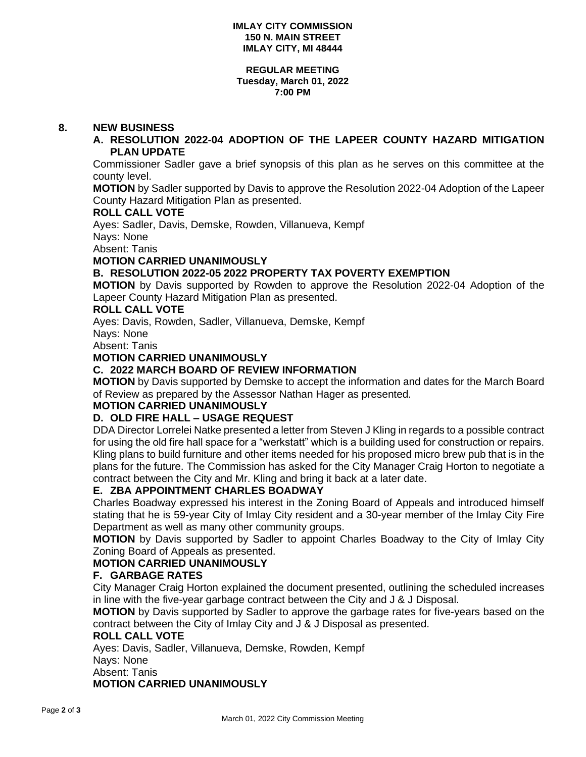#### **REGULAR MEETING Tuesday, March 01, 2022 7:00 PM**

### **8. NEW BUSINESS**

### **A. RESOLUTION 2022-04 ADOPTION OF THE LAPEER COUNTY HAZARD MITIGATION PLAN UPDATE**

Commissioner Sadler gave a brief synopsis of this plan as he serves on this committee at the county level.

**MOTION** by Sadler supported by Davis to approve the Resolution 2022-04 Adoption of the Lapeer County Hazard Mitigation Plan as presented.

### **ROLL CALL VOTE**

Ayes: Sadler, Davis, Demske, Rowden, Villanueva, Kempf

Nays: None

Absent: Tanis

### **MOTION CARRIED UNANIMOUSLY**

# **B. RESOLUTION 2022-05 2022 PROPERTY TAX POVERTY EXEMPTION**

**MOTION** by Davis supported by Rowden to approve the Resolution 2022-04 Adoption of the Lapeer County Hazard Mitigation Plan as presented.

### **ROLL CALL VOTE**

Ayes: Davis, Rowden, Sadler, Villanueva, Demske, Kempf

Nays: None

Absent: Tanis

# **MOTION CARRIED UNANIMOUSLY**

### **C. 2022 MARCH BOARD OF REVIEW INFORMATION**

**MOTION** by Davis supported by Demske to accept the information and dates for the March Board of Review as prepared by the Assessor Nathan Hager as presented.

### **MOTION CARRIED UNANIMOUSLY**

### **D. OLD FIRE HALL – USAGE REQUEST**

DDA Director Lorrelei Natke presented a letter from Steven J Kling in regards to a possible contract for using the old fire hall space for a "werkstatt" which is a building used for construction or repairs. Kling plans to build furniture and other items needed for his proposed micro brew pub that is in the plans for the future. The Commission has asked for the City Manager Craig Horton to negotiate a contract between the City and Mr. Kling and bring it back at a later date.

# **E. ZBA APPOINTMENT CHARLES BOADWAY**

Charles Boadway expressed his interest in the Zoning Board of Appeals and introduced himself stating that he is 59-year City of Imlay City resident and a 30-year member of the Imlay City Fire Department as well as many other community groups.

**MOTION** by Davis supported by Sadler to appoint Charles Boadway to the City of Imlay City Zoning Board of Appeals as presented.

### **MOTION CARRIED UNANIMOUSLY**

### **F. GARBAGE RATES**

City Manager Craig Horton explained the document presented, outlining the scheduled increases in line with the five-year garbage contract between the City and J & J Disposal.

**MOTION** by Davis supported by Sadler to approve the garbage rates for five-years based on the contract between the City of Imlay City and J & J Disposal as presented.

#### **ROLL CALL VOTE**

Ayes: Davis, Sadler, Villanueva, Demske, Rowden, Kempf Nays: None Absent: Tanis **MOTION CARRIED UNANIMOUSLY**